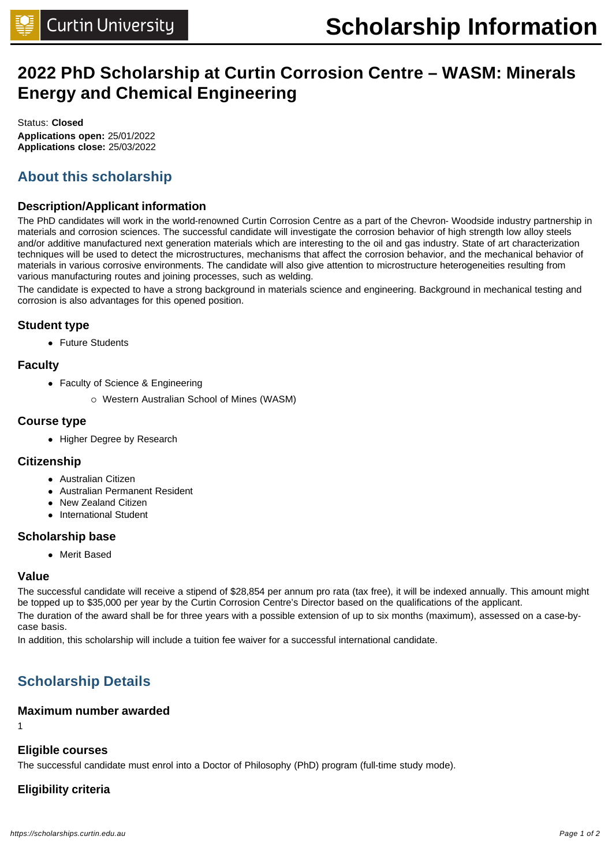# **2022 PhD Scholarship at Curtin Corrosion Centre – WASM: Minerals Energy and Chemical Engineering**

Status: **Closed Applications open:** 25/01/2022 **Applications close:** 25/03/2022

# **About this scholarship**

# **Description/Applicant information**

The PhD candidates will work in the world-renowned Curtin Corrosion Centre as a part of the Chevron- Woodside industry partnership in materials and corrosion sciences. The successful candidate will investigate the corrosion behavior of high strength low alloy steels and/or additive manufactured next generation materials which are interesting to the oil and gas industry. State of art characterization techniques will be used to detect the microstructures, mechanisms that affect the corrosion behavior, and the mechanical behavior of materials in various corrosive environments. The candidate will also give attention to microstructure heterogeneities resulting from various manufacturing routes and joining processes, such as welding.

The candidate is expected to have a strong background in materials science and engineering. Background in mechanical testing and corrosion is also advantages for this opened position.

# **Student type**

• Future Students

# **Faculty**

- Faculty of Science & Engineering
	- o Western Australian School of Mines (WASM)

# **Course type**

• Higher Degree by Research

### **Citizenship**

- Australian Citizen
- Australian Permanent Resident
- New Zealand Citizen
- International Student

### **Scholarship base**

• Merit Based

### **Value**

The successful candidate will receive a stipend of \$28,854 per annum pro rata (tax free), it will be indexed annually. This amount might be topped up to \$35,000 per year by the Curtin Corrosion Centre's Director based on the qualifications of the applicant. The duration of the award shall be for three years with a possible extension of up to six months (maximum), assessed on a case-bycase basis.

In addition, this scholarship will include a tuition fee waiver for a successful international candidate.

# **Scholarship Details**

## **Maximum number awarded**

1

## **Eligible courses**

The successful candidate must enrol into a Doctor of Philosophy (PhD) program (full-time study mode).

# **Eligibility criteria**